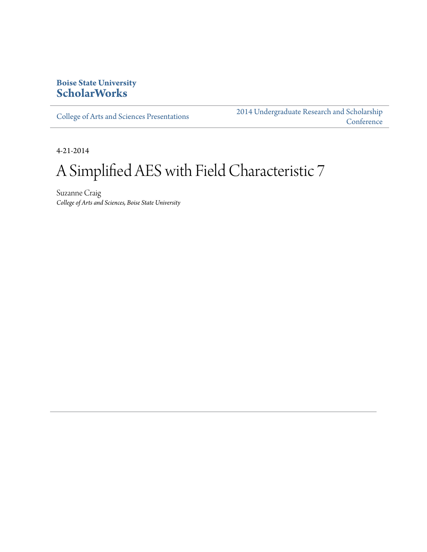### **Boise State University [ScholarWorks](http://scholarworks.boisestate.edu)**

[College of Arts and Sciences Presentations](http://scholarworks.boisestate.edu/as_14)

[2014 Undergraduate Research and Scholarship](http://scholarworks.boisestate.edu/2014_under_conf) **[Conference](http://scholarworks.boisestate.edu/2014_under_conf)** 

4-21-2014

# A Simplified AES with Field Characteristic 7

Suzanne Craig *College of Arts and Sciences, Boise State University*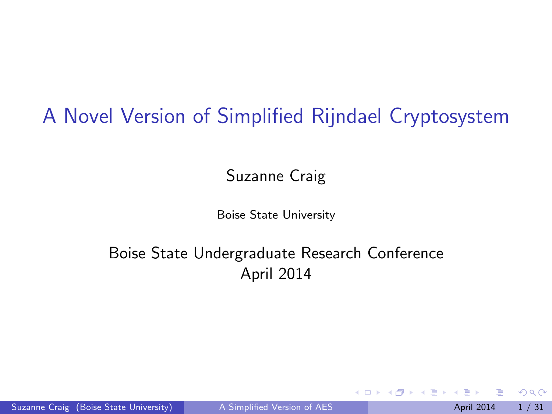#### <span id="page-1-0"></span>A Novel Version of Simplified Rijndael Cryptosystem

Suzanne Craig

Boise State University

#### Boise State Undergraduate Research Conference April 2014

Suzanne Craig (Boise State University) [A Simplified Version of AES](#page-52-0) April 2014 1/31

 $QQ$ 

B.K.

4 0 8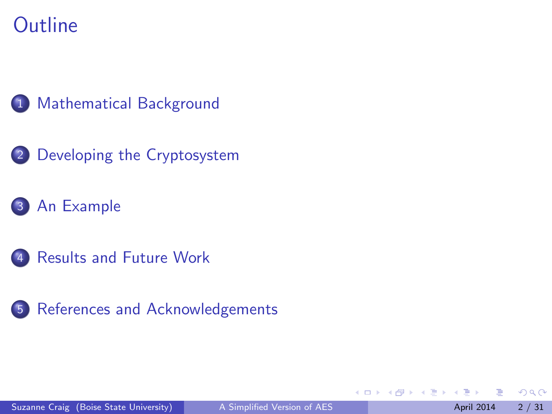#### **Outline**



- 2 [Developing the Cryptosystem](#page-10-0)
- 3 [An Example](#page-24-0)
- 4 [Results and Future Work](#page-47-0)
- 5 [References and Acknowledgements](#page-50-0)

4 0 8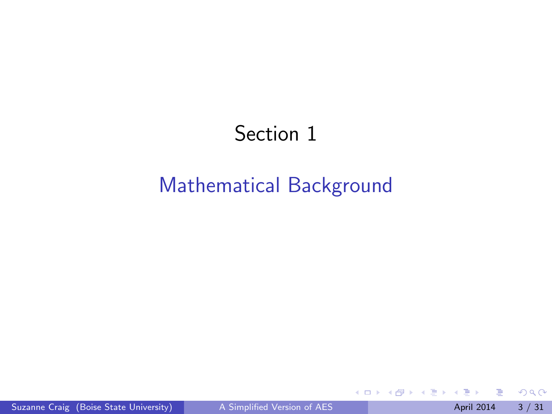### Section 1

#### <span id="page-3-0"></span>[Mathematical Background](#page-3-0)

 $\leftarrow$   $\Box$ 

4 何 ト 4 ヨ ト

舌

 $\mathcal{A}$  .

 $299$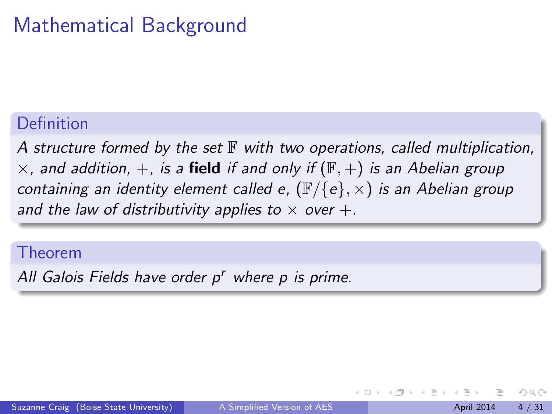### Mathematical Background

#### Definition

A structure formed by the set  $\mathbb F$  with two operations, called multiplication,  $\times$ , and addition,  $+$ , is a field if and only if  $(\mathbb{F}, +)$  is an Abelian group containing an identity element called e,  $(\mathbb{F}/\{e\}, \times)$  is an Abelian group and the law of distributivity applies to  $\times$  over  $+$ .

#### Theorem

All Galois Fields have order p' where p is prime.

 $\Omega$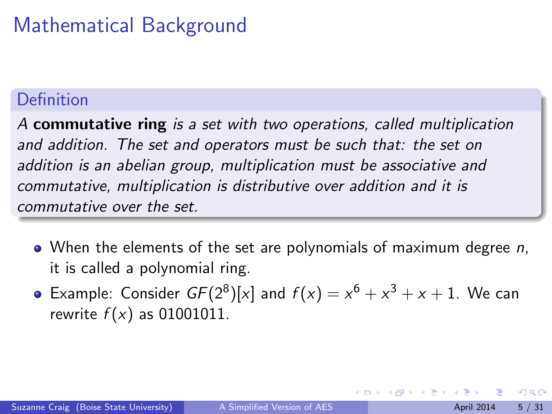### Mathematical Background

#### Definition

A commutative ring is a set with two operations, called multiplication and addition. The set and operators must be such that: the set on addition is an abelian group, multiplication must be associative and commutative, multiplication is distributive over addition and it is commutative over the set.

- When the elements of the set are polynomials of maximum degree  $n$ , it is called a polynomial ring.
- Example: Consider  $GF(2^8)[x]$  and  $f(x) = x^6 + x^3 + x + 1$ . We can rewrite  $f(x)$  as 01001011.

 $200$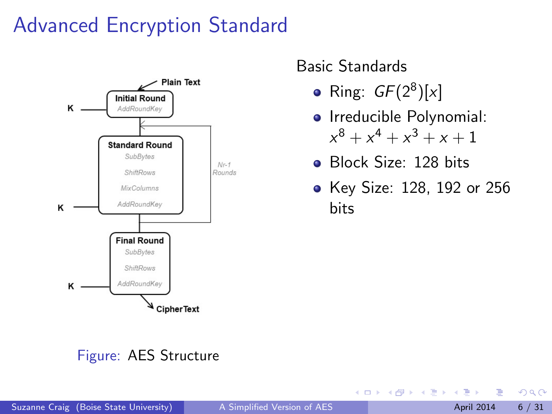### Advanced Encryption Standard



#### Basic Standards

Ring:  $GF(2^8)[x]$ 

4 0 8

- **o** Irreducible Polynomial:  $x^8 + x^4 + x^3 + x + 1$
- **•** Block Size: 128 bits
- Key Size: 128, 192 or 256 bits

#### Figure: AES Structure

Ŧь

 $\Omega$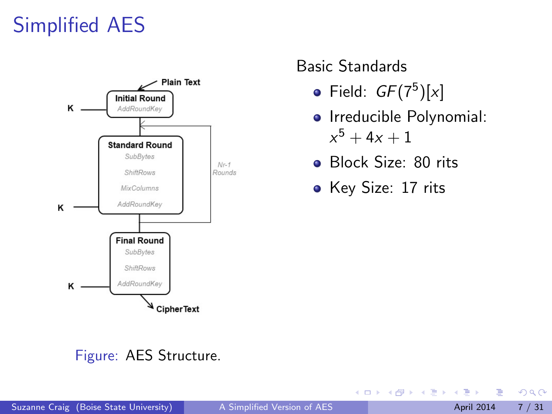### Simplified AES



#### Basic Standards

- Field:  $GF(7^5)[x]$
- Irreducible Polynomial:  $x^5 + 4x + 1$
- **Block Size: 80 rits**
- Key Size: 17 rits

4 0 8

#### Figure: AES Structure.

 $QQ$ 

 $\mathbf{A}$  . The  $\mathbf{A}$ 

∋ »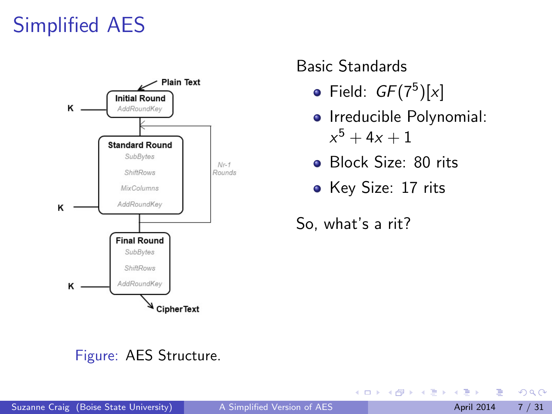### Simplified AES



#### Figure: AES Structure.

#### Basic Standards

- Field:  $GF(7^5)[x]$
- Irreducible Polynomial:  $x^5 + 4x + 1$
- **Block Size: 80 rits**
- Key Size: 17 rits

So, what's a rit?

4 0 8

#### Suzanne Craig (Boise State University) [A Simplified Version of AES](#page-1-0) April 2014 7 / 31

 $QQ$ 

オ 理

∋ »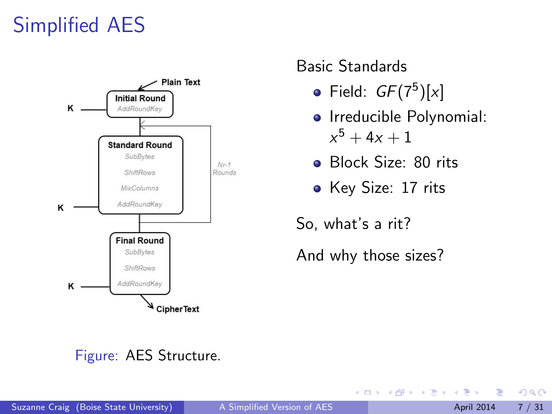### <span id="page-9-0"></span>Simplified AES



#### Basic Standards

- Field:  $GF(7^5)[x]$
- **o** Irreducible Polynomial:  $x^5 + 4x + 1$
- Block Size: 80 rits
- Key Size: 17 rits

So, what's a rit?

And why those sizes?

4 0 8

#### Figure: AES Structure.

ЭX.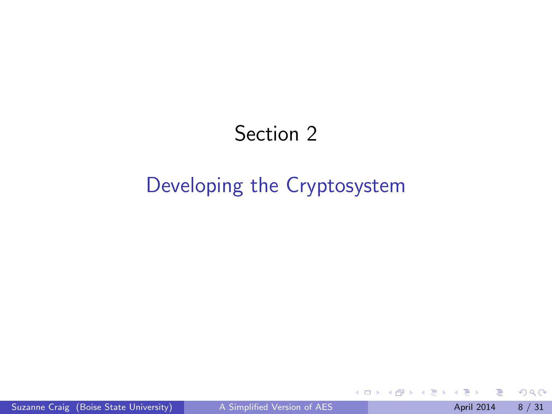### Section 2

#### <span id="page-10-0"></span>[Developing the Cryptosystem](#page-10-0)

4 日下

∢●  $\rightarrow$  一本 語 下

舌

 $\mathcal{A}$  .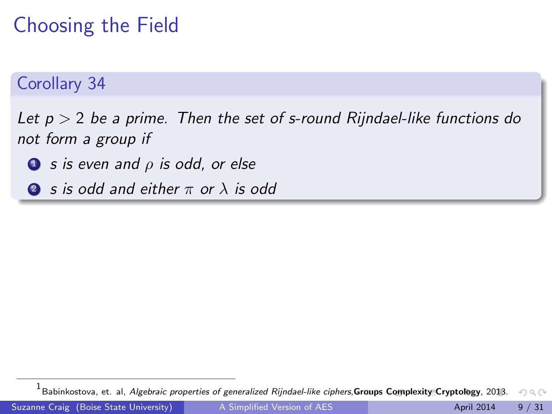### <span id="page-11-0"></span>Choosing the Field

#### Corollary 34

Let  $p > 2$  be a prime. Then the set of s-round Rijndael-like functions do not form a group if

- $\bullet$  s is even and  $\rho$  is odd, or else
- **2** s is odd and either  $\pi$  or  $\lambda$  is odd

<sup>1&</sup>lt;br><sup>1</sup> Babink[o](#page-11-0)stova, et. al, *Algebraic properties of generalized Rijndael-like ciphers*,**[Gr](#page-10-0)o[ups](#page-12-0) [C](#page-23-0)o[m](#page-12-0)[ple](#page-13-0)[xi](#page-9-0)[ty](#page-10-0) C[ry](#page-24-0)[pt](#page-9-0)[ol](#page-10-0)[og](#page-23-0)[y](#page-24-0)**[, 20](#page-1-0)[13.](#page-52-0)  $QQ$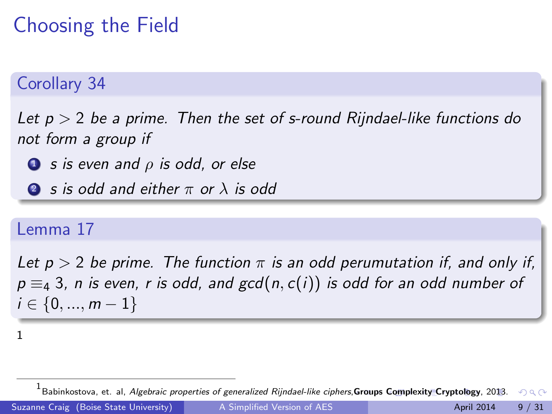### <span id="page-12-0"></span>Choosing the Field

#### Corollary 34

Let  $p > 2$  be a prime. Then the set of s-round Rijndael-like functions do not form a group if

 $\bullet$  s is even and  $\rho$  is odd, or else

**2** s is odd and either  $\pi$  or  $\lambda$  is odd

#### Lemma 17

Let  $p > 2$  be prime. The function  $\pi$  is an odd perumutation if, and only if,  $p \equiv_4 3$ , n is even, r is odd, and gcd $(n, c(i))$  is odd for an odd number of  $i \in \{0, ..., m-1\}$ 

<sup>1</sup>

<sup>1&</sup>lt;br><sup>1</sup> Babink[o](#page-11-0)stova, et. al, *Algebraic properties of generalized Rijndael-like ciphers*,**[Gr](#page-11-0)o[ups](#page-13-0) [C](#page-23-0)o[m](#page-12-0)[ple](#page-13-0)[xi](#page-9-0)[ty](#page-10-0) C[ry](#page-24-0)[pt](#page-9-0)[ol](#page-10-0)[og](#page-23-0)[y](#page-24-0)**[, 20](#page-1-0)[13.](#page-52-0)  $\Omega$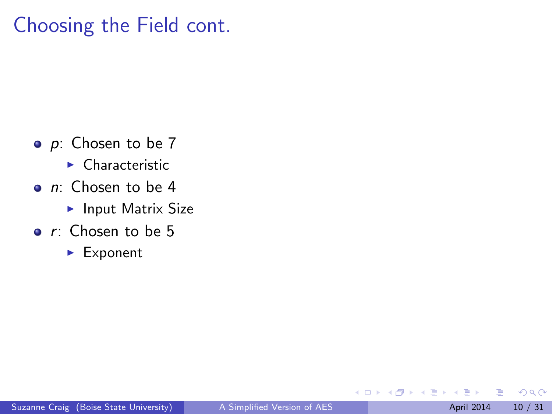#### <span id="page-13-0"></span>Choosing the Field cont.

- $\bullet$  p: Chosen to be 7
	- $\blacktriangleright$  Characteristic
- *n*: Chosen to be 4
	- $\blacktriangleright$  Input Matrix Size
- $\bullet$  r: Chosen to be 5
	- $\blacktriangleright$  Exponent

4.0.3

 $QQ$ 

B.X

÷.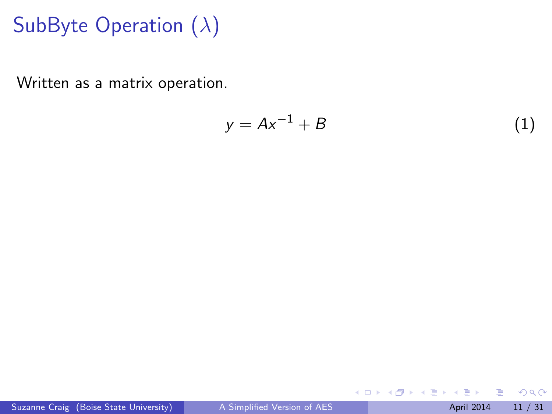Written as a matrix operation.

$$
y = Ax^{-1} + B \tag{1}
$$

 $\leftarrow$   $\Box$   $\rightarrow$ 

→ 母

 $\rightarrow$ 

 $\rightarrow$   $\rightarrow$   $\rightarrow$ Ξ  $299$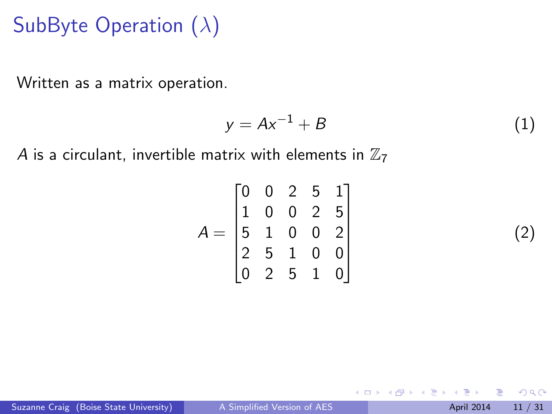Written as a matrix operation.

$$
y = Ax^{-1} + B \tag{1}
$$

 $\leftarrow$   $\Box$ 

A is a circulant, invertible matrix with elements in  $\mathbb{Z}_7$ 

$$
A = \begin{bmatrix} 0 & 0 & 2 & 5 & 1 \\ 1 & 0 & 0 & 2 & 5 \\ 5 & 1 & 0 & 0 & 2 \\ 2 & 5 & 1 & 0 & 0 \\ 0 & 2 & 5 & 1 & 0 \end{bmatrix}
$$

Suzanne Craig (Boise State University) [A Simplified Version of AES](#page-1-0) April 2014 11 / 31

∢ ∋ ⊳

(2)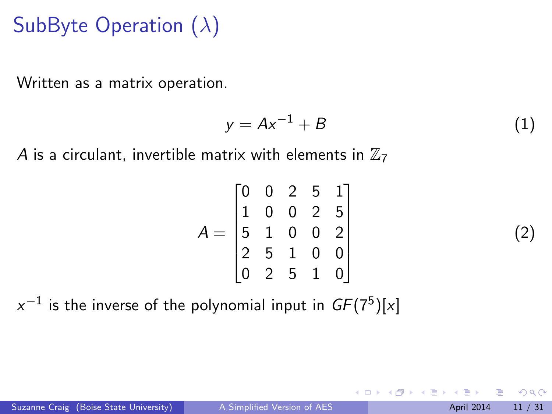Written as a matrix operation.

$$
y = Ax^{-1} + B \tag{1}
$$

4.0.3

A is a circulant, invertible matrix with elements in  $\mathbb{Z}_7$ 

|            |                                                                                                                     |  | $\begin{bmatrix} 1 \\ 5 \\ 2 \\ 0 \end{bmatrix}$ |  |
|------------|---------------------------------------------------------------------------------------------------------------------|--|--------------------------------------------------|--|
| $\sqrt{2}$ |                                                                                                                     |  |                                                  |  |
|            | $\begin{array}{cccc} 0 & 0 & 2 & 5 \\ 1 & 0 & 0 & 2 \\ 5 & 1 & 0 & 0 \\ 2 & 5 & 1 & 0 \\ 0 & 2 & 5 & 1 \end{array}$ |  |                                                  |  |

 $\rm{x}^{-1}$  is the inverse of the polynomial input in  $\mathit{GF}(7^5)[\rm{x}]$ 

(2)

 $\Omega$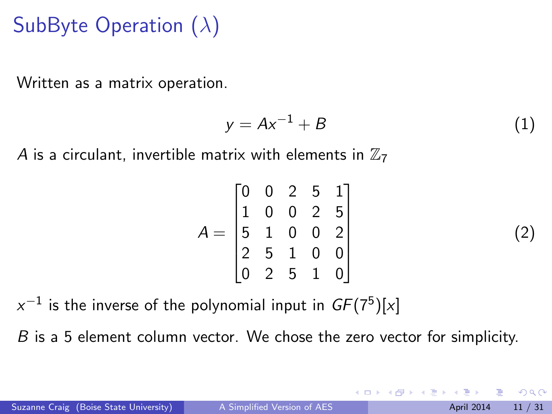Written as a matrix operation.

$$
y = Ax^{-1} + B \tag{1}
$$

A is a circulant, invertible matrix with elements in  $\mathbb{Z}_7$ 

|  | $\begin{bmatrix} 0 & 0 & 2 & 5 & 1 \\ 1 & 0 & 0 & 2 & 5 \\ 5 & 1 & 0 & 0 & 2 \\ 2 & 5 & 1 & 0 & 0 \\ 0 & 2 & 5 & 1 & 0 \end{bmatrix}$ |  |  |
|--|---------------------------------------------------------------------------------------------------------------------------------------|--|--|

 $\rm{x}^{-1}$  is the inverse of the polynomial input in  $\mathit{GF}(7^5)[\rm{x}]$ 

B is a 5 element column vector. We chose the zero vector for simplicity.

(2)

 $\Omega$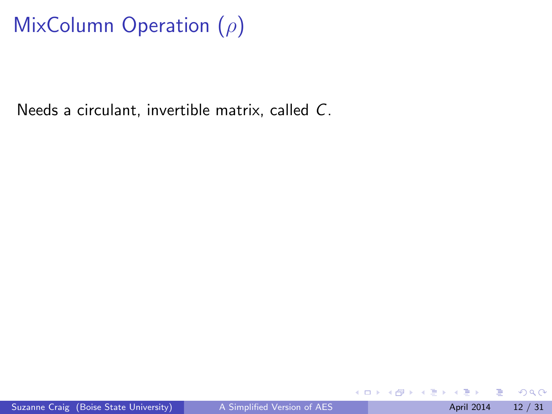## MixColumn Operation  $(\rho)$

Needs a circulant, invertible matrix, called C.

4 日下

 $QQ$ 

不重 医牙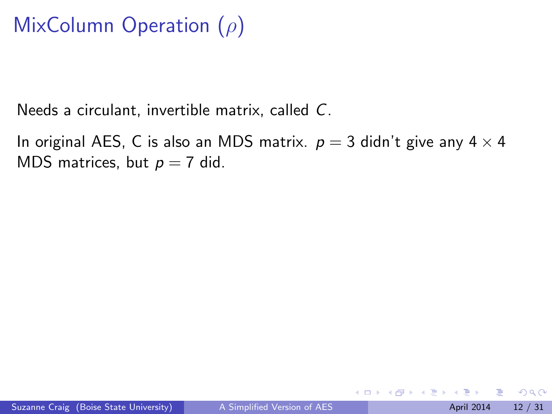### MixColumn Operation  $(\rho)$

Needs a circulant, invertible matrix, called C.

In original AES, C is also an MDS matrix.  $p = 3$  didn't give any  $4 \times 4$ MDS matrices, but  $p = 7$  did.

4 0 8

∢ ∃ ⊁ ∢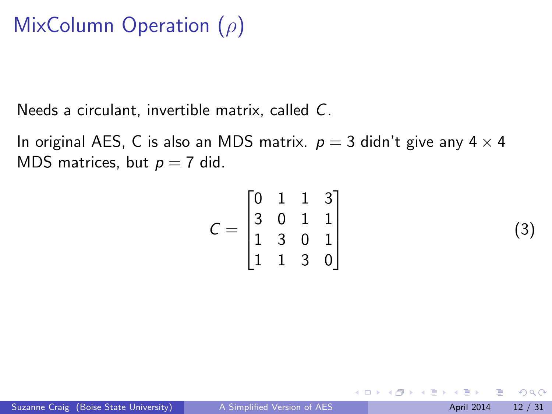### MixColumn Operation  $(\rho)$

Needs a circulant, invertible matrix, called C.

In original AES, C is also an MDS matrix.  $p = 3$  didn't give any  $4 \times 4$ MDS matrices, but  $p = 7$  did.

$$
C = \begin{bmatrix} 0 & 1 & 1 & 3 \\ 3 & 0 & 1 & 1 \\ 1 & 3 & 0 & 1 \\ 1 & 1 & 3 & 0 \end{bmatrix}
$$
 (3)

4 0 8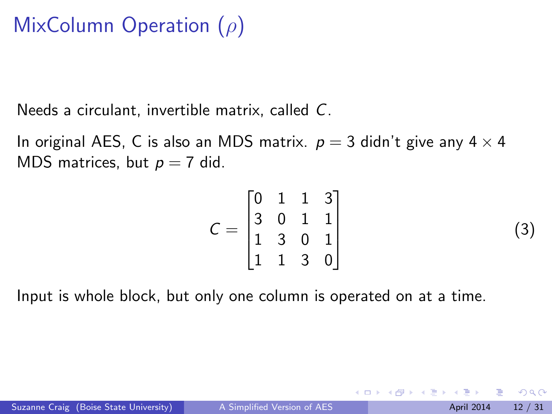### MixColumn Operation (ρ)

Needs a circulant, invertible matrix, called C.

In original AES, C is also an MDS matrix.  $p = 3$  didn't give any  $4 \times 4$ MDS matrices, but  $p = 7$  did.

$$
C = \begin{bmatrix} 0 & 1 & 1 & 3 \\ 3 & 0 & 1 & 1 \\ 1 & 3 & 0 & 1 \\ 1 & 1 & 3 & 0 \end{bmatrix}
$$
 (3)

4 0 8

Input is whole block, but only one column is operated on at a time.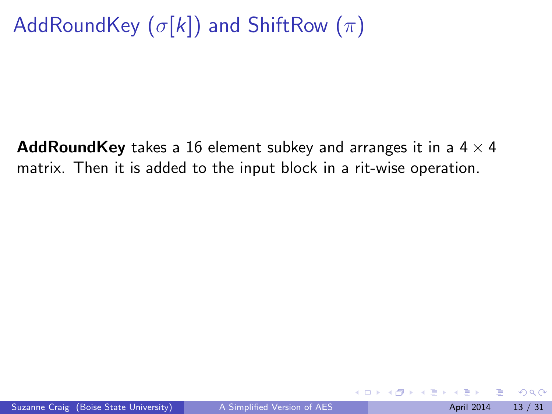## AddRoundKey  $(\sigma[k])$  and ShiftRow  $(\pi)$

AddRoundKey takes a 16 element subkey and arranges it in a  $4 \times 4$ matrix. Then it is added to the input block in a rit-wise operation.

4.0.3

 $\Omega$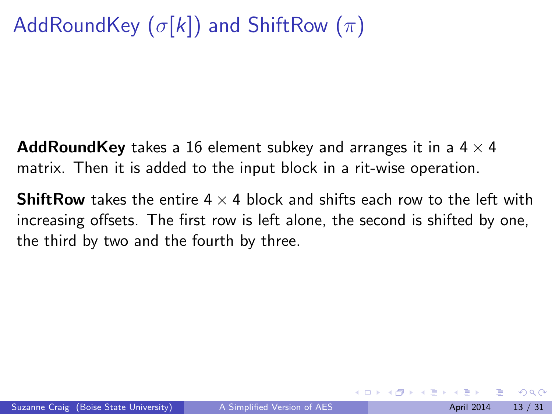## <span id="page-23-0"></span>AddRoundKey  $(\sigma[k])$  and ShiftRow  $(\pi)$

AddRoundKey takes a 16 element subkey and arranges it in a  $4 \times 4$ matrix. Then it is added to the input block in a rit-wise operation.

**ShiftRow** takes the entire  $4 \times 4$  block and shifts each row to the left with increasing offsets. The first row is left alone, the second is shifted by one, the third by two and the fourth by three.

 $\Omega$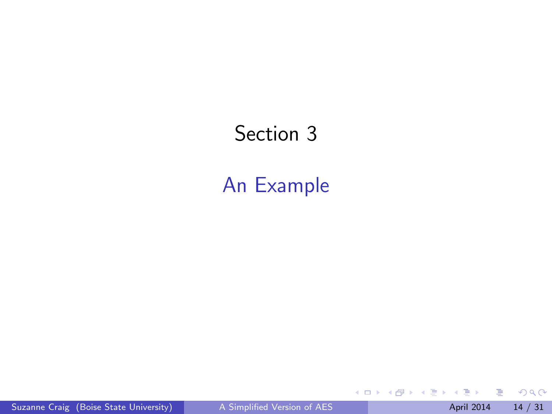#### <span id="page-24-0"></span>Section 3

#### [An Example](#page-24-0)

 $2990$ 

イロト イ部 トメ ヨ トメ ヨト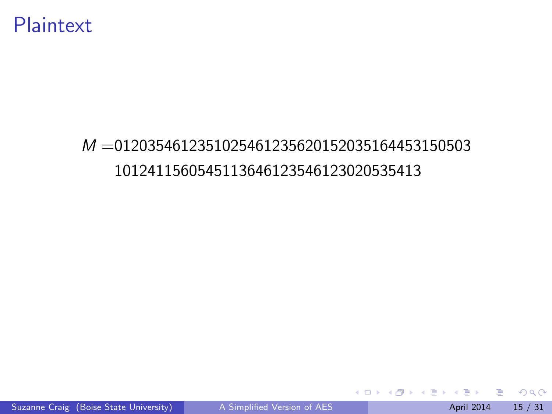#### Plaintext

#### M =0120354612351025461235620152035164453150503 1012411560545113646123546123020535413

イロト イ母 トイヨ トイヨト

 $OQ$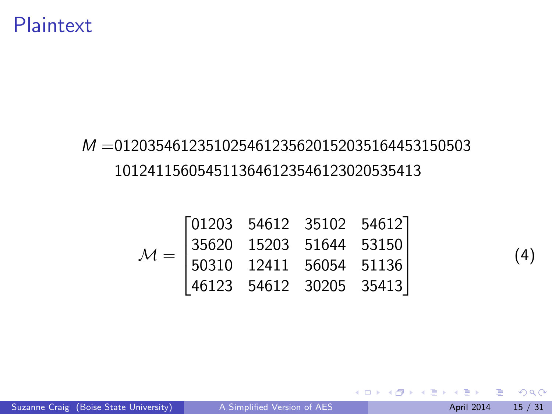#### Plaintext

#### M =0120354612351025461235620152035164453150503 1012411560545113646123546123020535413

$$
\mathcal{M} = \begin{bmatrix} 01203 & 54612 & 35102 & 54612 \\ 35620 & 15203 & 51644 & 53150 \\ 50310 & 12411 & 56054 & 51136 \\ 46123 & 54612 & 30205 & 35413 \end{bmatrix}
$$

 $\Rightarrow$ 

 $4$  ロ }  $4$   $4$   $9$  }  $4$   $\equiv$  }  $-4$ 

(4)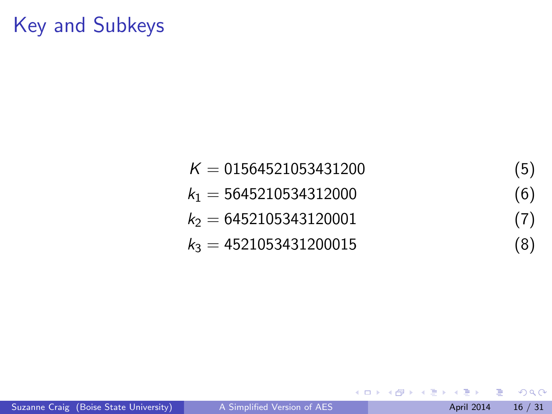### Key and Subkeys

$$
K = 01564521053431200
$$
\n
$$
k_1 = 5645210534312000
$$
\n
$$
k_2 = 6452105343120001
$$
\n
$$
k_3 = 4521053431200015
$$
\n(8)

重

J.

 $299$ 

イロト イ御 トメ ミトメ 毛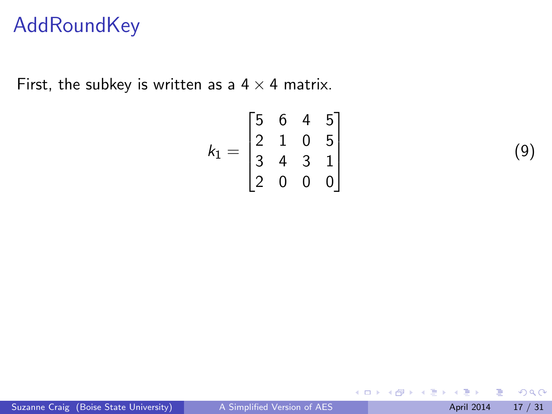#### **AddRoundKey**

First, the subkey is written as a  $4 \times 4$  matrix.

$$
k_1 = \begin{bmatrix} 5 & 6 & 4 & 5 \\ 2 & 1 & 0 & 5 \\ 3 & 4 & 3 & 1 \\ 2 & 0 & 0 & 0 \end{bmatrix}
$$

(9)

 $\leftarrow$   $\Box$ 

→ 母  $\rightarrow$  医重新 不

 $299$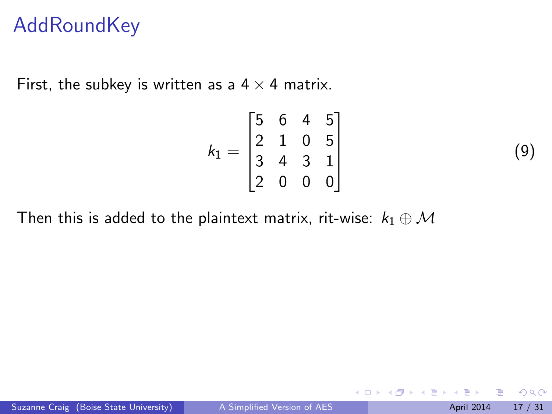#### **AddRoundKey**

First, the subkey is written as a  $4 \times 4$  matrix.

$$
k_1 = \begin{bmatrix} 5 & 6 & 4 & 5 \\ 2 & 1 & 0 & 5 \\ 3 & 4 & 3 & 1 \\ 2 & 0 & 0 & 0 \end{bmatrix}
$$

Then this is added to the plaintext matrix, rit-wise:  $k_1 \oplus M$ 

4 日下

化医头头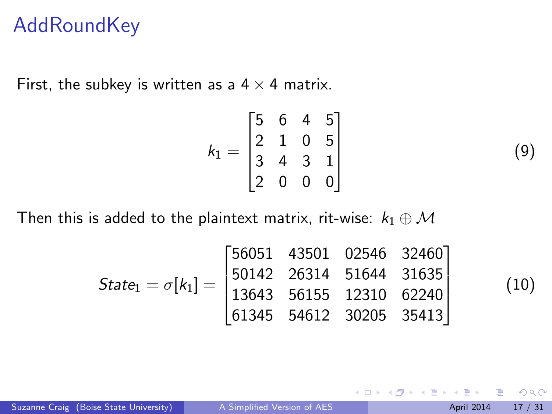#### **AddRoundKey**

First, the subkey is written as a  $4 \times 4$  matrix.

$$
k_1 = \begin{bmatrix} 5 & 6 & 4 & 5 \\ 2 & 1 & 0 & 5 \\ 3 & 4 & 3 & 1 \\ 2 & 0 & 0 & 0 \end{bmatrix}
$$

Then this is added to the plaintext matrix, rit-wise:  $k_1 \oplus M$ 

$$
State_1 = \sigma[k_1] = \begin{bmatrix} 56051 & 43501 & 02546 & 32460 \\ 50142 & 26314 & 51644 & 31635 \\ 13643 & 56155 & 12310 & 62240 \\ 61345 & 54612 & 30205 & 35413 \end{bmatrix}
$$

(10)

 $QQ$ 

(9)

 $\leftarrow$   $\Box$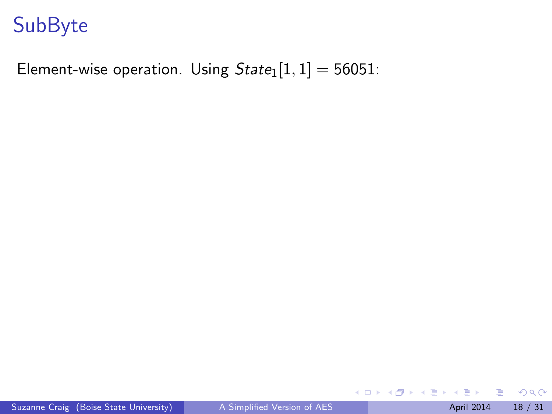Element-wise operation. Using  $State_1[1, 1] = 56051$ :

J.

メロト メ都 トメ ヨ トメ ヨ

 $2990$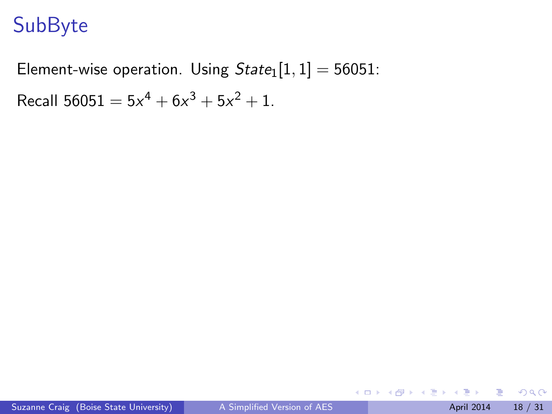Element-wise operation. Using  $State_1[1, 1] = 56051$ :

Recall  $56051 = 5x^4 + 6x^3 + 5x^2 + 1$ .

 $2990$ 

イロト イ部 トメ ヨ トメ ヨト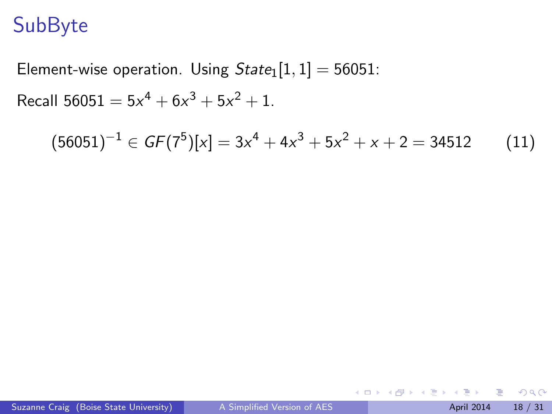Element-wise operation. Using  $State_1[1, 1] = 56051$ :

Recall  $56051 = 5x^4 + 6x^3 + 5x^2 + 1$ .

$$
(56051)^{-1} \in GF(7^5)[x] = 3x^4 + 4x^3 + 5x^2 + x + 2 = 34512
$$
 (11)

 $\leftarrow$   $\Box$ 

 $\left\{ \left\vert \left\langle \left\langle \left\langle \mathbf{q} \right\rangle \right\rangle \right\rangle \right\vert \left\langle \mathbf{q} \right\rangle \right\vert \left\langle \mathbf{q} \right\rangle \right\vert \left\langle \mathbf{q} \right\rangle \right\vert \left\langle \mathbf{q} \right\rangle \left\langle \mathbf{q} \right\rangle \right\vert$ 

 $\equiv$ 

 $299$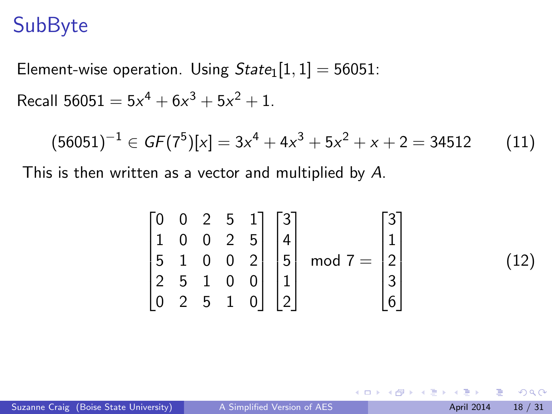Element-wise operation. Using  $State_1[1, 1] = 56051$ : Recall  $56051 = 5x^4 + 6x^3 + 5x^2 + 1$ .

$$
(56051)^{-1} \in GF(7^5)[x] = 3x^4 + 4x^3 + 5x^2 + x + 2 = 34512
$$
 (11)

This is then written as a vector and multiplied by A.

$$
\begin{bmatrix} 0 & 0 & 2 & 5 & 1 \\ 1 & 0 & 0 & 2 & 5 \\ 5 & 1 & 0 & 0 & 2 \\ 2 & 5 & 1 & 0 & 0 \\ 0 & 2 & 5 & 1 & 0 \end{bmatrix} \begin{bmatrix} 3 \\ 4 \\ 5 \\ 1 \\ 2 \end{bmatrix} \text{ mod } 7 = \begin{bmatrix} 3 \\ 1 \\ 2 \\ 3 \\ 6 \end{bmatrix}
$$
 (12)

4 0 8

→ 何 ▶ → ヨ ▶ → ヨ

 $\Omega$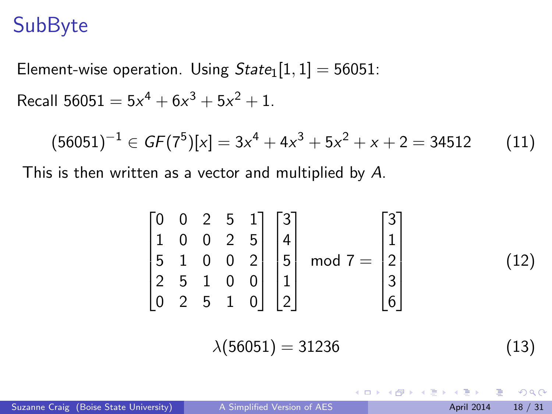Element-wise operation. Using  $State_1[1, 1] = 56051$ : Recall  $56051 = 5x^4 + 6x^3 + 5x^2 + 1$ .

$$
(56051)^{-1} \in GF(7^5)[x] = 3x^4 + 4x^3 + 5x^2 + x + 2 = 34512
$$
 (11)

This is then written as a vector and multiplied by A.

$$
\begin{bmatrix} 0 & 0 & 2 & 5 & 1 \ 1 & 0 & 0 & 2 & 5 \ 5 & 1 & 0 & 0 & 2 \ 2 & 5 & 1 & 0 & 0 \ 0 & 2 & 5 & 1 & 0 \ \end{bmatrix} \begin{bmatrix} 3 \ 4 \ 5 \ 5 \ 1 \ 1 \ 2 \ 2 \end{bmatrix} \text{ mod } 7 = \begin{bmatrix} 3 \ 1 \ 2 \ 3 \ 6 \end{bmatrix}
$$
(12)  

$$
\lambda(56051) = 31236
$$
(13)

**K ロ ト K 何 ト K ヨ ト K**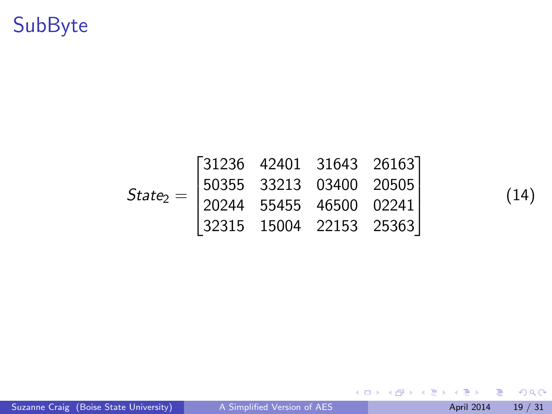$$
State_2 = \begin{bmatrix} 31236 & 42401 & 31643 & 26163 \\ 50355 & 33213 & 03400 & 20505 \\ 20244 & 55455 & 46500 & 02241 \\ 32315 & 15004 & 22153 & 25363 \end{bmatrix}
$$

(14)

重

 $299$ 

イロト イ部 トメ ヨ トメ ヨト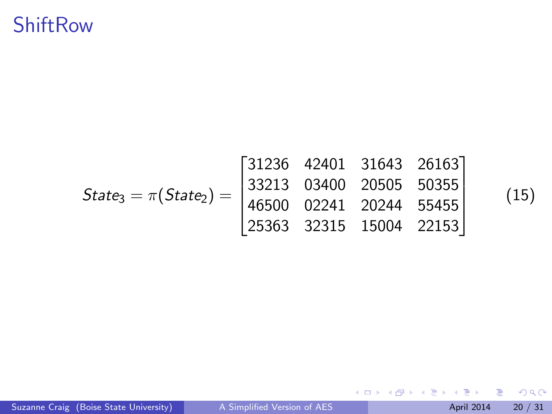#### **ShiftRow**

| $State_3 = \pi(State_2) =$ | \n <table>\n<tbody>\n<tr>\n<td><math>31236</math></td>\n<td><math>42401</math></td>\n<td><math>31643</math></td>\n<td><math>26163</math></td>\n</tr>\n<tr>\n<td><math>33213</math></td>\n<td><math>03400</math></td>\n<td><math>20505</math></td>\n<td><math>50355</math></td>\n</tr>\n<tr>\n<td><math>46500</math></td>\n<td><math>02241</math></td>\n<td><math>20244</math></td>\n<td><math>55455</math></td>\n</tr>\n<tr>\n<td><math>25363</math></td>\n<td><math>32315</math></td>\n<td><math>15004</math></td>\n<td><math>22153</math></td>\n</tr>\n</tbody>\n</table> | $31236$ | $42401$ | $31643$ | $26163$ | $33213$ | $03400$ | $20505$ | $50355$ | $46500$ | $02241$ | $20244$ | $55455$ | $25363$ | $32315$ | $15004$ | $22153$ |
|----------------------------|-----------------------------------------------------------------------------------------------------------------------------------------------------------------------------------------------------------------------------------------------------------------------------------------------------------------------------------------------------------------------------------------------------------------------------------------------------------------------------------------------------------------------------------------------------------------------------|---------|---------|---------|---------|---------|---------|---------|---------|---------|---------|---------|---------|---------|---------|---------|---------|
| $31236$                    | $42401$                                                                                                                                                                                                                                                                                                                                                                                                                                                                                                                                                                     | $31643$ | $26163$ |         |         |         |         |         |         |         |         |         |         |         |         |         |         |
| $33213$                    | $03400$                                                                                                                                                                                                                                                                                                                                                                                                                                                                                                                                                                     | $20505$ | $50355$ |         |         |         |         |         |         |         |         |         |         |         |         |         |         |
| $46500$                    | $02241$                                                                                                                                                                                                                                                                                                                                                                                                                                                                                                                                                                     | $20244$ | $55455$ |         |         |         |         |         |         |         |         |         |         |         |         |         |         |
| $25363$                    | $32315$                                                                                                                                                                                                                                                                                                                                                                                                                                                                                                                                                                     | $15004$ | $22153$ |         |         |         |         |         |         |         |         |         |         |         |         |         |         |

(15)

重

 $2990$ 

イロト イ部 トメ ヨ トメ ヨト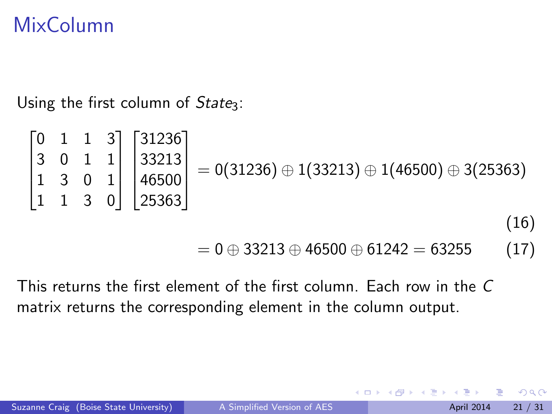### MixColumn

Using the first column of  $State_3$ :

$$
\begin{bmatrix} 0 & 1 & 1 & 3 \ 3 & 0 & 1 & 1 \ 1 & 3 & 0 & 1 \ 1 & 1 & 3 & 0 \ \end{bmatrix} \begin{bmatrix} 31236 \ 33213 \ 46500 \ 25363 \end{bmatrix} = 0(31236) \oplus 1(33213) \oplus 1(46500) \oplus 3(25363)
$$
\n(16)

$$
= 0 \oplus 33213 \oplus 46500 \oplus 61242 = 63255
$$
 (17)

 $\leftarrow$   $\Box$ 

This returns the first element of the first column. Each row in the C matrix returns the corresponding element in the column output.

 $\Omega$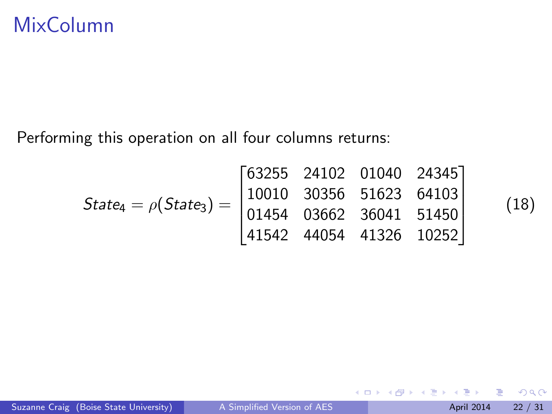Performing this operation on all four columns returns:

$$
State_4 = \rho(State_3) = \begin{bmatrix} 63255 & 24102 & 01040 & 24345 \\ 10010 & 30356 & 51623 & 64103 \\ 01454 & 03662 & 36041 & 51450 \\ 41542 & 44054 & 41326 & 10252 \end{bmatrix}
$$

(18)

◆ ロ ▶ → 伊

 $\rightarrow$ ∢ 三 下  $299$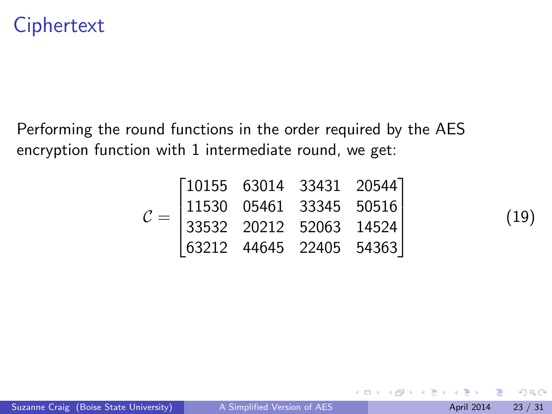#### **Ciphertext**

Performing the round functions in the order required by the AES encryption function with 1 intermediate round, we get:

| $\mathcal{C} =$ |  | $\begin{bmatrix} 10155 & 63014 & 33431 & 20544 \ 11530 & 05461 & 33345 & 50516 \ 33532 & 20212 & 52063 & 14524 \end{bmatrix}$ |  |
|-----------------|--|-------------------------------------------------------------------------------------------------------------------------------|--|
|                 |  | $\begin{bmatrix} 63212 & 44645 & 22405 & 54363 \end{bmatrix}$                                                                 |  |

(19)

 $\leftarrow$   $\Box$ 

化医头头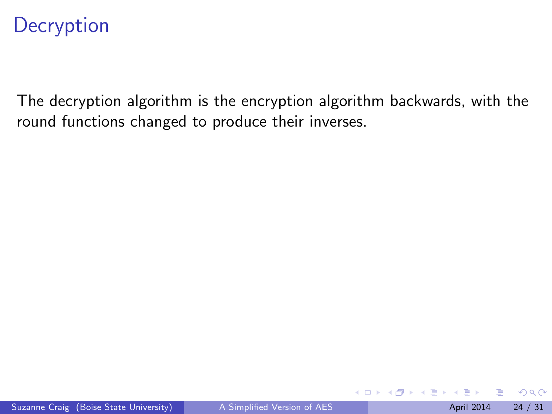The decryption algorithm is the encryption algorithm backwards, with the round functions changed to produce their inverses.

4.0.3

E K K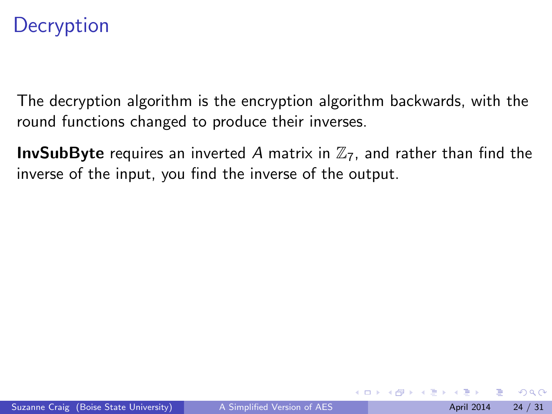The decryption algorithm is the encryption algorithm backwards, with the round functions changed to produce their inverses.

**InvSubByte** requires an inverted A matrix in  $\mathbb{Z}_7$ , and rather than find the inverse of the input, you find the inverse of the output.

4 日下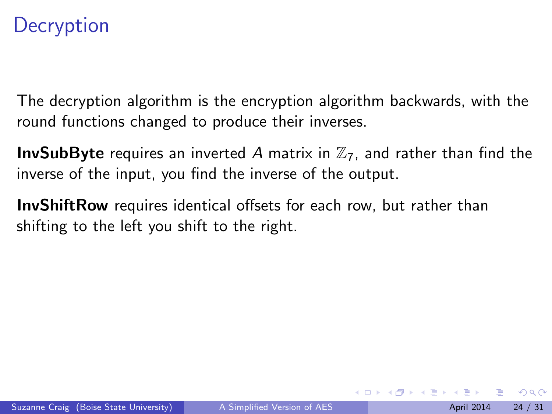The decryption algorithm is the encryption algorithm backwards, with the round functions changed to produce their inverses.

**InvSubByte** requires an inverted A matrix in  $\mathbb{Z}_7$ , and rather than find the inverse of the input, you find the inverse of the output.

**InvShiftRow** requires identical offsets for each row, but rather than shifting to the left you shift to the right.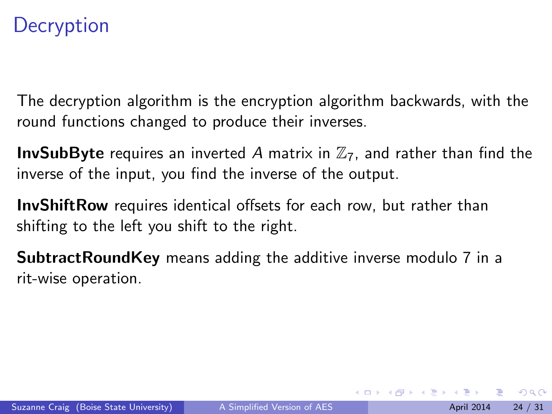The decryption algorithm is the encryption algorithm backwards, with the round functions changed to produce their inverses.

**InvSubByte** requires an inverted A matrix in  $\mathbb{Z}_7$ , and rather than find the inverse of the input, you find the inverse of the output.

**InvShiftRow** requires identical offsets for each row, but rather than shifting to the left you shift to the right.

SubtractRoundKey means adding the additive inverse modulo 7 in a rit-wise operation.

 $\Omega$ 

医毛囊 医牙骨下的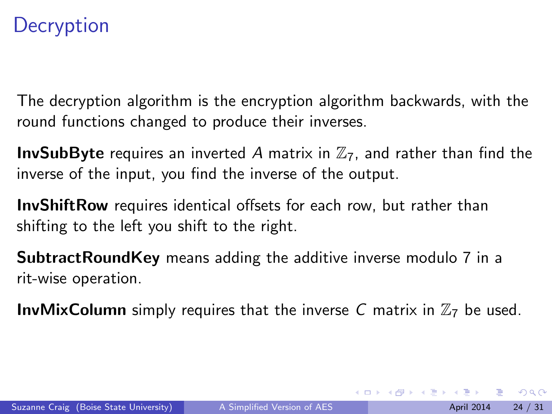The decryption algorithm is the encryption algorithm backwards, with the round functions changed to produce their inverses.

**InvSubByte** requires an inverted A matrix in  $\mathbb{Z}_7$ , and rather than find the inverse of the input, you find the inverse of the output.

**InvShiftRow** requires identical offsets for each row, but rather than shifting to the left you shift to the right.

SubtractRoundKey means adding the additive inverse modulo 7 in a rit-wise operation.

**InvMixColumn** simply requires that the inverse C matrix in  $\mathbb{Z}_7$  be used.

 $\Omega$ 

 $\mathbf{A} \equiv \mathbf{A} + \mathbf{A} \mathbf{B} + \mathbf{A} \mathbf{B} + \mathbf{A} \mathbf{B} + \mathbf{B} \mathbf{B}$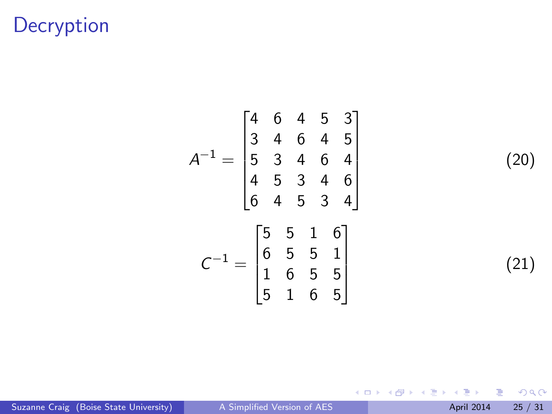$$
A^{-1} = \begin{bmatrix} 4 & 6 & 4 & 5 & 3 \\ 3 & 4 & 6 & 4 & 5 \\ 5 & 3 & 4 & 6 & 4 \\ 4 & 5 & 3 & 4 & 6 \\ 6 & 4 & 5 & 3 & 4 \end{bmatrix}
$$

$$
C^{-1} = \begin{bmatrix} 5 & 5 & 1 & 6 \\ 6 & 5 & 5 & 1 \\ 1 & 6 & 5 & 5 \\ 5 & 1 & 6 & 5 \end{bmatrix}
$$

(20)

(21)

 $299$ 

Suzanne Craig (Boise State University) [A Simplified Version of AES](#page-1-0) April 2014 25 / 31

重

イロト イ部 トメ ヨ トメ ヨト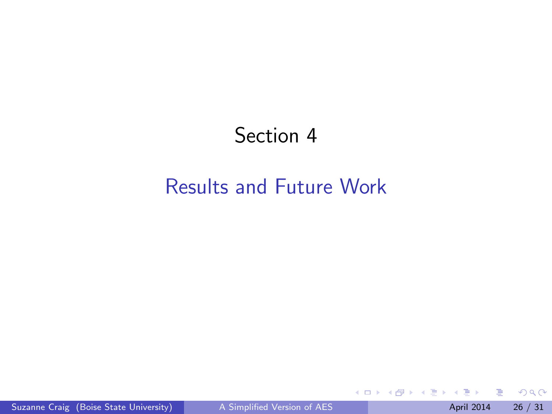#### Section 4

#### <span id="page-47-0"></span>[Results and Future Work](#page-47-0)

**≮ロ ▶ (伊 )** 

 $-4.25 + 4.$ 舌  $299$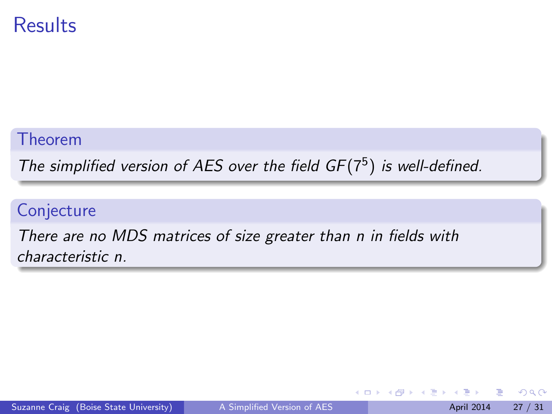#### **Results**

#### Theorem

The simplified version of AES over the field  $GF(7^5)$  is well-defined.

#### **Conjecture**

There are no MDS matrices of size greater than n in fields with characteristic n.

4 0 8

∋⊳⊣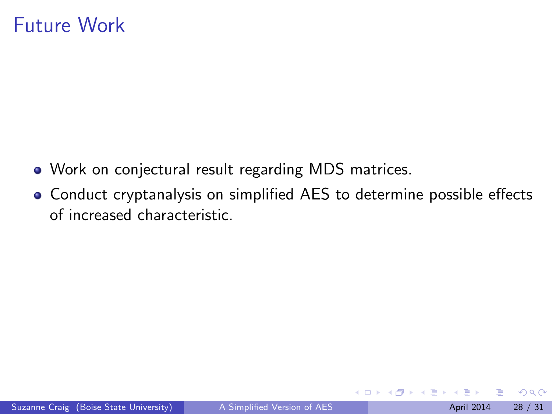#### Future Work

- Work on conjectural result regarding MDS matrices.
- Conduct cryptanalysis on simplified AES to determine possible effects of increased characteristic.

4 0 8

 $\Omega$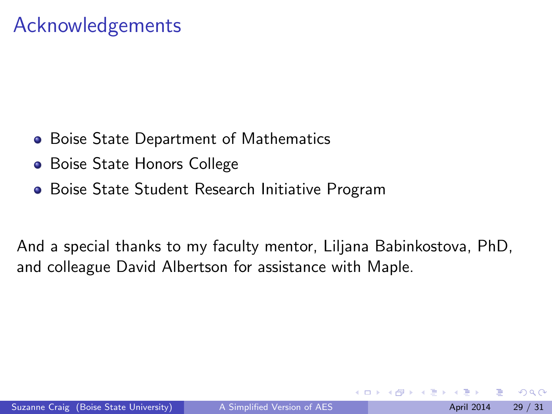#### <span id="page-50-0"></span>Acknowledgements

- **Boise State Department of Mathematics**
- **Boise State Honors College**
- Boise State Student Research Initiative Program

And a special thanks to my faculty mentor, Liljana Babinkostova, PhD, and colleague David Albertson for assistance with Maple.

 $\Omega$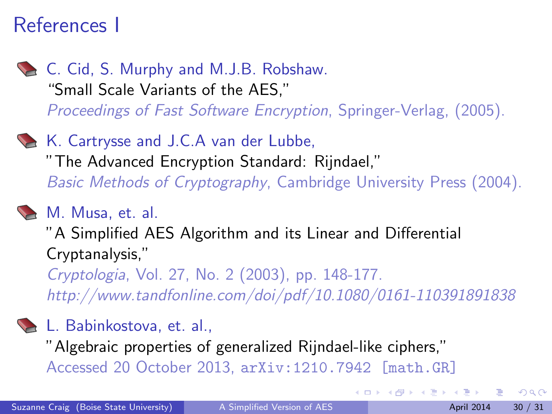#### References I

- C. Cid, S. Murphy and M.J.B. Robshaw. "Small Scale Variants of the AES," Proceedings of Fast Software Encryption, Springer-Verlag, (2005).
- K. Cartrysse and J.C.A van der Lubbe, "The Advanced Encryption Standard: Rijndael," Basic Methods of Cryptography, Cambridge University Press (2004).

#### M. Musa, et. al.

"A Simplified AES Algorithm and its Linear and Differential Cryptanalysis,"

Cryptologia, Vol. 27, No. 2 (2003), pp. 148-177. http://www.tandfonline.com/doi/pdf/10.1080/0161-110391891838

#### L. Babinkostova, et. al.,

"Algebraic properties of generalized Rijndael-like ciphers,"

Accessed 20 October 2013, arXiv:1210.7942 [math.GR]

 $\Omega$ 

イロト イ押ト イヨト イヨト